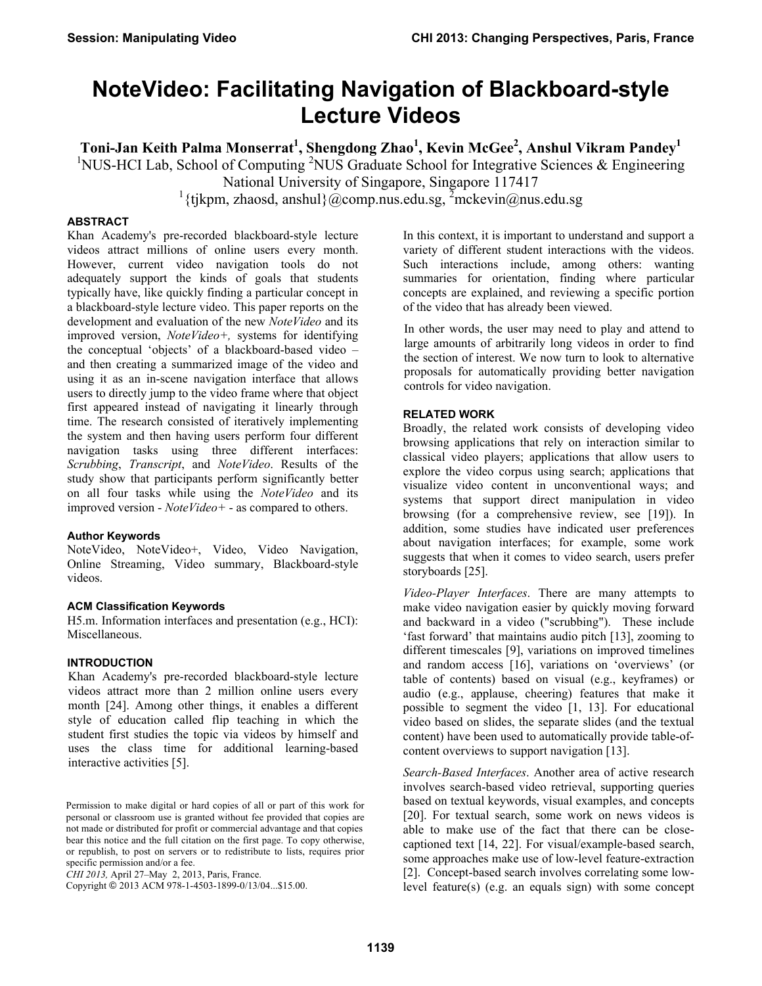# **NoteVideo: Facilitating Navigation of Blackboard-style Lecture Videos**

 $\mathbf{T}$ oni-Jan Keith Palma Monserrat $^1$ , Shengdong Zhao $^1$ , Kevin McGee $^2$ , Anshul Vikram Pandey $^1$ <sup>1</sup>NUS-HCI Lab, School of Computing <sup>2</sup>NUS Graduate School for Integrative Sciences & Engineering National University of Singapore, Singapore 117417

<sup>1</sup>{tjkpm, zhaosd, anshul}@comp.nus.edu.sg,  $\sum_{n=1}^{\infty}$  mckevin@nus.edu.sg

# **ABSTRACT**

Khan Academy's pre-recorded blackboard-style lecture videos attract millions of online users every month. However, current video navigation tools do not adequately support the kinds of goals that students typically have, like quickly finding a particular concept in a blackboard-style lecture video. This paper reports on the development and evaluation of the new *NoteVideo* and its improved version, *NoteVideo+,* systems for identifying the conceptual 'objects' of a blackboard-based video – and then creating a summarized image of the video and using it as an in-scene navigation interface that allows users to directly jump to the video frame where that object first appeared instead of navigating it linearly through time. The research consisted of iteratively implementing the system and then having users perform four different navigation tasks using three different interfaces: *Scrubbing*, *Transcript*, and *NoteVideo*. Results of the study show that participants perform significantly better on all four tasks while using the *NoteVideo* and its improved version - *NoteVideo+* - as compared to others.

## **Author Keywords**

NoteVideo, NoteVideo+, Video, Video Navigation, Online Streaming, Video summary, Blackboard-style videos.

## **ACM Classification Keywords**

H5.m. Information interfaces and presentation (e.g., HCI): Miscellaneous.

# **INTRODUCTION**

Khan Academy's pre-recorded blackboard-style lecture videos attract more than 2 million online users every month [24]. Among other things, it enables a different style of education called flip teaching in which the student first studies the topic via videos by himself and uses the class time for additional learning-based interactive activities [5].

*CHI 2013,* April 27–May 2, 2013, Paris, France.

Copyright © 2013 ACM 978-1-4503-1899-0/13/04...\$15.00.

In this context, it is important to understand and support a variety of different student interactions with the videos. Such interactions include, among others: wanting summaries for orientation, finding where particular concepts are explained, and reviewing a specific portion of the video that has already been viewed.

In other words, the user may need to play and attend to large amounts of arbitrarily long videos in order to find the section of interest. We now turn to look to alternative proposals for automatically providing better navigation controls for video navigation.

# **RELATED WORK**

Broadly, the related work consists of developing video browsing applications that rely on interaction similar to classical video players; applications that allow users to explore the video corpus using search; applications that visualize video content in unconventional ways; and systems that support direct manipulation in video browsing (for a comprehensive review, see [19]). In addition, some studies have indicated user preferences about navigation interfaces; for example, some work suggests that when it comes to video search, users prefer storyboards [25].

*Video-Player Interfaces*. There are many attempts to make video navigation easier by quickly moving forward and backward in a video ("scrubbing"). These include 'fast forward' that maintains audio pitch [13], zooming to different timescales [9], variations on improved timelines and random access [16], variations on 'overviews' (or table of contents) based on visual (e.g., keyframes) or audio (e.g., applause, cheering) features that make it possible to segment the video [1, 13]. For educational video based on slides, the separate slides (and the textual content) have been used to automatically provide table-ofcontent overviews to support navigation [13].

*Search-Based Interfaces*. Another area of active research involves search-based video retrieval, supporting queries based on textual keywords, visual examples, and concepts [20]. For textual search, some work on news videos is able to make use of the fact that there can be closecaptioned text [14, 22]. For visual/example-based search, some approaches make use of low-level feature-extraction [2]. Concept-based search involves correlating some lowlevel feature(s) (e.g. an equals sign) with some concept

Permission to make digital or hard copies of all or part of this work for personal or classroom use is granted without fee provided that copies are not made or distributed for profit or commercial advantage and that copies bear this notice and the full citation on the first page. To copy otherwise, or republish, to post on servers or to redistribute to lists, requires prior specific permission and/or a fee.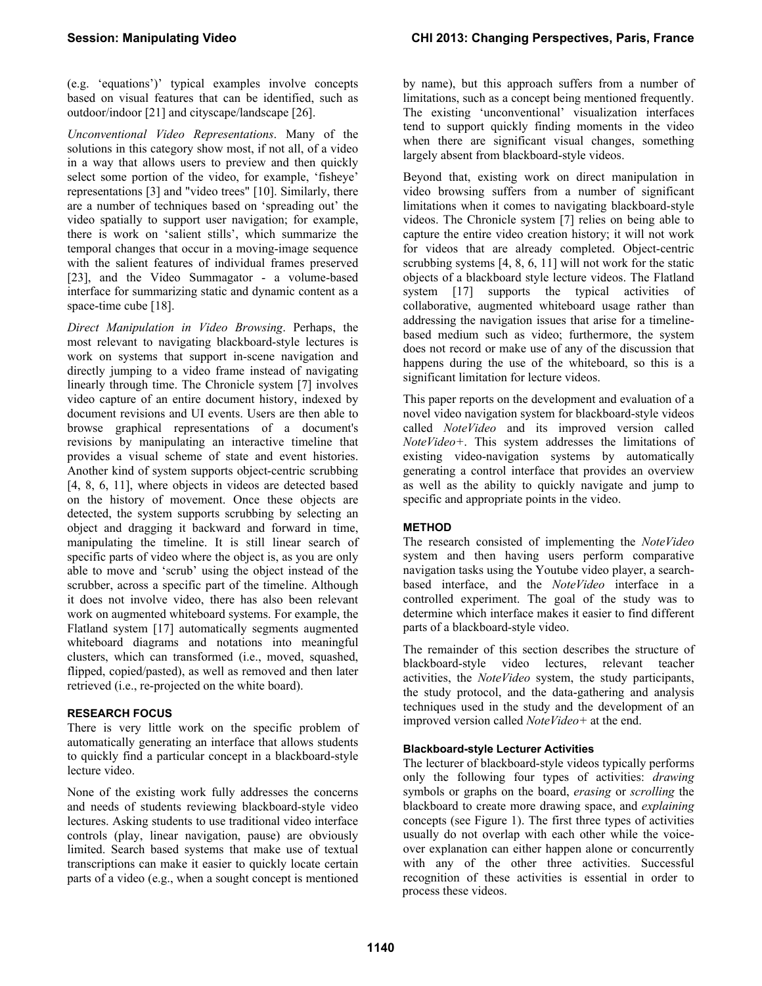(e.g. 'equations')' typical examples involve concepts based on visual features that can be identified, such as outdoor/indoor [21] and cityscape/landscape [26].

*Unconventional Video Representations*. Many of the solutions in this category show most, if not all, of a video in a way that allows users to preview and then quickly select some portion of the video, for example, 'fisheye' representations [3] and "video trees" [10]. Similarly, there are a number of techniques based on 'spreading out' the video spatially to support user navigation; for example, there is work on 'salient stills', which summarize the temporal changes that occur in a moving-image sequence with the salient features of individual frames preserved [23], and the Video Summagator - a volume-based interface for summarizing static and dynamic content as a space-time cube [18].

*Direct Manipulation in Video Browsing*. Perhaps, the most relevant to navigating blackboard-style lectures is work on systems that support in-scene navigation and directly jumping to a video frame instead of navigating linearly through time. The Chronicle system [7] involves video capture of an entire document history, indexed by document revisions and UI events. Users are then able to browse graphical representations of a document's revisions by manipulating an interactive timeline that provides a visual scheme of state and event histories. Another kind of system supports object-centric scrubbing [4, 8, 6, 11], where objects in videos are detected based on the history of movement. Once these objects are detected, the system supports scrubbing by selecting an object and dragging it backward and forward in time, manipulating the timeline. It is still linear search of specific parts of video where the object is, as you are only able to move and 'scrub' using the object instead of the scrubber, across a specific part of the timeline. Although it does not involve video, there has also been relevant work on augmented whiteboard systems. For example, the Flatland system [17] automatically segments augmented whiteboard diagrams and notations into meaningful clusters, which can transformed (i.e., moved, squashed, flipped, copied/pasted), as well as removed and then later retrieved (i.e., re-projected on the white board).

# **RESEARCH FOCUS**

There is very little work on the specific problem of automatically generating an interface that allows students to quickly find a particular concept in a blackboard-style lecture video.

None of the existing work fully addresses the concerns and needs of students reviewing blackboard-style video lectures. Asking students to use traditional video interface controls (play, linear navigation, pause) are obviously limited. Search based systems that make use of textual transcriptions can make it easier to quickly locate certain parts of a video (e.g., when a sought concept is mentioned

by name), but this approach suffers from a number of limitations, such as a concept being mentioned frequently. The existing 'unconventional' visualization interfaces tend to support quickly finding moments in the video when there are significant visual changes, something largely absent from blackboard-style videos.

Beyond that, existing work on direct manipulation in video browsing suffers from a number of significant limitations when it comes to navigating blackboard-style videos. The Chronicle system [7] relies on being able to capture the entire video creation history; it will not work for videos that are already completed. Object-centric scrubbing systems [4, 8, 6, 11] will not work for the static objects of a blackboard style lecture videos. The Flatland system [17] supports the typical activities of collaborative, augmented whiteboard usage rather than addressing the navigation issues that arise for a timelinebased medium such as video; furthermore, the system does not record or make use of any of the discussion that happens during the use of the whiteboard, so this is a significant limitation for lecture videos.

This paper reports on the development and evaluation of a novel video navigation system for blackboard-style videos called *NoteVideo* and its improved version called *NoteVideo+*. This system addresses the limitations of existing video-navigation systems by automatically generating a control interface that provides an overview as well as the ability to quickly navigate and jump to specific and appropriate points in the video.

# **METHOD**

The research consisted of implementing the *NoteVideo* system and then having users perform comparative navigation tasks using the Youtube video player, a searchbased interface, and the *NoteVideo* interface in a controlled experiment. The goal of the study was to determine which interface makes it easier to find different parts of a blackboard-style video.

The remainder of this section describes the structure of blackboard-style video lectures, relevant teacher activities, the *NoteVideo* system, the study participants, the study protocol, and the data-gathering and analysis techniques used in the study and the development of an improved version called *NoteVideo+* at the end.

# **Blackboard-style Lecturer Activities**

The lecturer of blackboard-style videos typically performs only the following four types of activities: *drawing* symbols or graphs on the board, *erasing* or *scrolling* the blackboard to create more drawing space, and *explaining* concepts (see Figure 1). The first three types of activities usually do not overlap with each other while the voiceover explanation can either happen alone or concurrently with any of the other three activities. Successful recognition of these activities is essential in order to process these videos.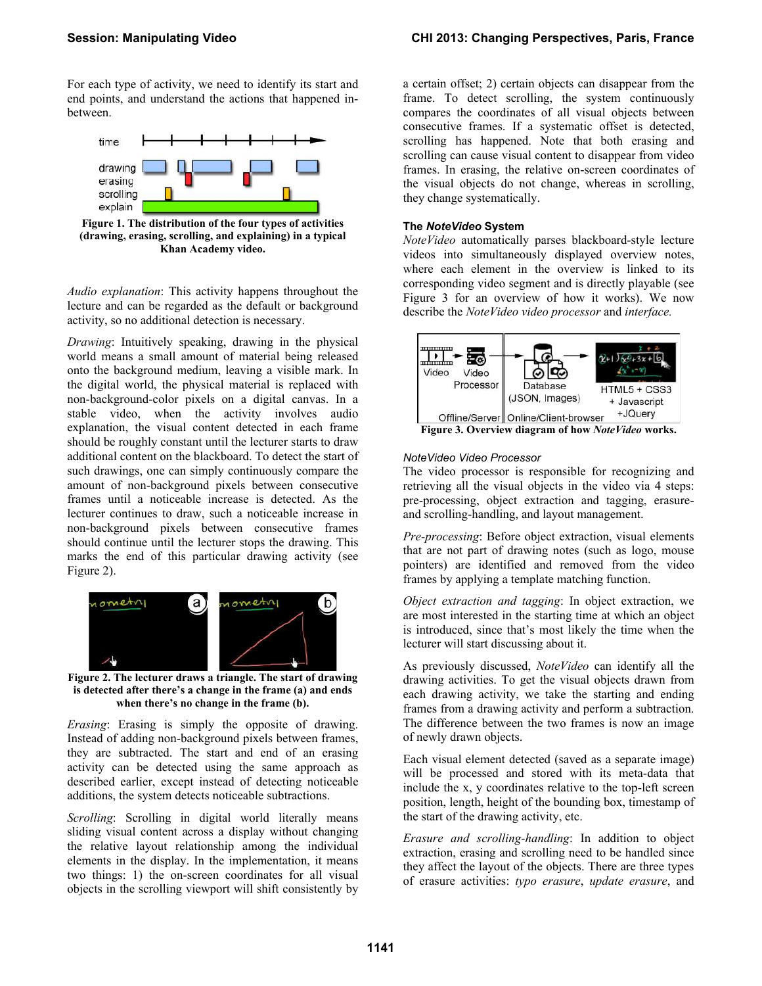For each type of activity, we need to identify its start and end points, and understand the actions that happened inbetween.



**Figure 1. The distribution of the four types of activities (drawing, erasing, scrolling, and explaining) in a typical Khan Academy video.** 

*Audio explanation*: This activity happens throughout the lecture and can be regarded as the default or background activity, so no additional detection is necessary.

*Drawing*: Intuitively speaking, drawing in the physical world means a small amount of material being released onto the background medium, leaving a visible mark. In the digital world, the physical material is replaced with non-background-color pixels on a digital canvas. In a stable video, when the activity involves audio explanation, the visual content detected in each frame should be roughly constant until the lecturer starts to draw additional content on the blackboard. To detect the start of such drawings, one can simply continuously compare the amount of non-background pixels between consecutive frames until a noticeable increase is detected. As the lecturer continues to draw, such a noticeable increase in non-background pixels between consecutive frames should continue until the lecturer stops the drawing. This marks the end of this particular drawing activity (see Figure 2).



**Figure 2. The lecturer draws a triangle. The start of drawing is detected after there's a change in the frame (a) and ends when there's no change in the frame (b).**

*Erasing*: Erasing is simply the opposite of drawing. Instead of adding non-background pixels between frames, they are subtracted. The start and end of an erasing activity can be detected using the same approach as described earlier, except instead of detecting noticeable additions, the system detects noticeable subtractions.

*Scrolling*: Scrolling in digital world literally means sliding visual content across a display without changing the relative layout relationship among the individual elements in the display. In the implementation, it means two things: 1) the on-screen coordinates for all visual objects in the scrolling viewport will shift consistently by a certain offset; 2) certain objects can disappear from the frame. To detect scrolling, the system continuously compares the coordinates of all visual objects between consecutive frames. If a systematic offset is detected, scrolling has happened. Note that both erasing and scrolling can cause visual content to disappear from video frames. In erasing, the relative on-screen coordinates of the visual objects do not change, whereas in scrolling, they change systematically.

# **The** *NoteVideo* **System**

*NoteVideo* automatically parses blackboard-style lecture videos into simultaneously displayed overview notes, where each element in the overview is linked to its corresponding video segment and is directly playable (see Figure 3 for an overview of how it works). We now describe the *NoteVideo video processor* and *interface.*



## *NoteVideo Video Processor*

The video processor is responsible for recognizing and retrieving all the visual objects in the video via 4 steps: pre-processing, object extraction and tagging, erasureand scrolling-handling, and layout management.

*Pre-processing*: Before object extraction, visual elements that are not part of drawing notes (such as logo, mouse pointers) are identified and removed from the video frames by applying a template matching function.

*Object extraction and tagging*: In object extraction, we are most interested in the starting time at which an object is introduced, since that's most likely the time when the lecturer will start discussing about it.

As previously discussed, *NoteVideo* can identify all the drawing activities. To get the visual objects drawn from each drawing activity, we take the starting and ending frames from a drawing activity and perform a subtraction. The difference between the two frames is now an image of newly drawn objects.

Each visual element detected (saved as a separate image) will be processed and stored with its meta-data that include the x, y coordinates relative to the top-left screen position, length, height of the bounding box, timestamp of the start of the drawing activity, etc.

*Erasure and scrolling-handling*: In addition to object extraction, erasing and scrolling need to be handled since they affect the layout of the objects. There are three types of erasure activities: *typo erasure*, *update erasure*, and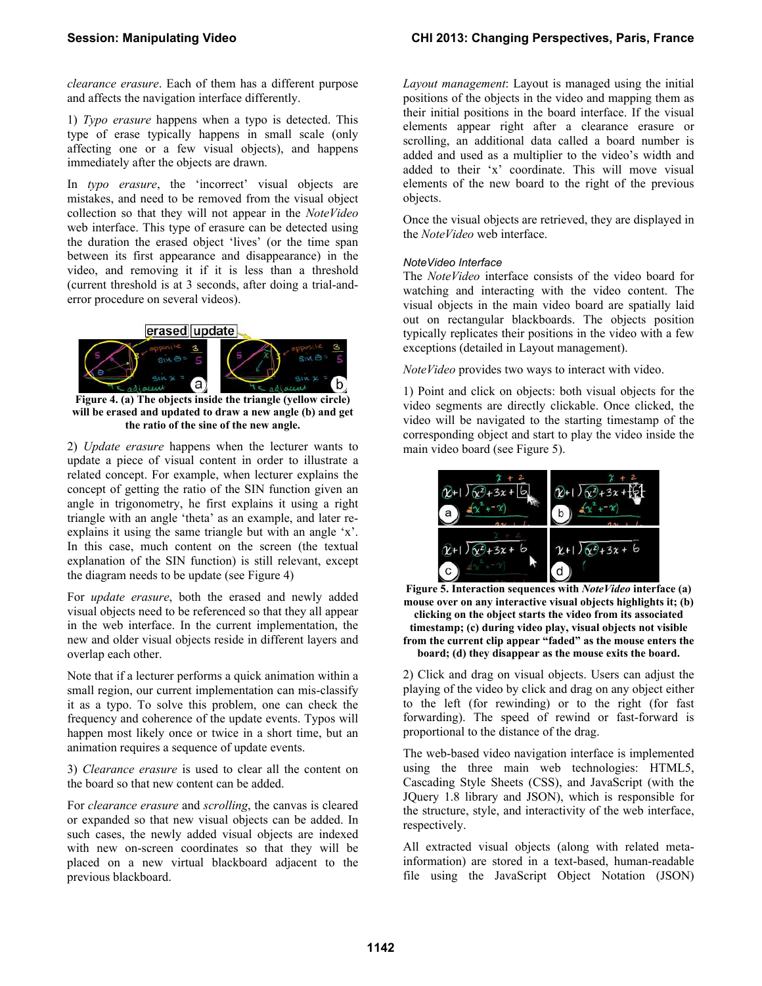*clearance erasure*. Each of them has a different purpose and affects the navigation interface differently.

1) *Typo erasure* happens when a typo is detected. This type of erase typically happens in small scale (only affecting one or a few visual objects), and happens immediately after the objects are drawn.

In *typo erasure*, the 'incorrect' visual objects are mistakes, and need to be removed from the visual object collection so that they will not appear in the *NoteVideo* web interface. This type of erasure can be detected using the duration the erased object 'lives' (or the time span between its first appearance and disappearance) in the video, and removing it if it is less than a threshold (current threshold is at 3 seconds, after doing a trial-anderror procedure on several videos).





**Figure 4. (a) The objects inside the triangle (yellow circle) will be erased and updated to draw a new angle (b) and get the ratio of the sine of the new angle.**

2) *Update erasure* happens when the lecturer wants to update a piece of visual content in order to illustrate a related concept. For example, when lecturer explains the concept of getting the ratio of the SIN function given an angle in trigonometry, he first explains it using a right triangle with an angle 'theta' as an example, and later reexplains it using the same triangle but with an angle 'x'. In this case, much content on the screen (the textual explanation of the SIN function) is still relevant, except the diagram needs to be update (see Figure 4)

For *update erasure*, both the erased and newly added visual objects need to be referenced so that they all appear in the web interface. In the current implementation, the new and older visual objects reside in different layers and overlap each other.

Note that if a lecturer performs a quick animation within a small region, our current implementation can mis-classify it as a typo. To solve this problem, one can check the frequency and coherence of the update events. Typos will happen most likely once or twice in a short time, but an animation requires a sequence of update events.

3) *Clearance erasure* is used to clear all the content on the board so that new content can be added.

For *clearance erasure* and *scrolling*, the canvas is cleared or expanded so that new visual objects can be added. In such cases, the newly added visual objects are indexed with new on-screen coordinates so that they will be placed on a new virtual blackboard adjacent to the previous blackboard.

*Layout management*: Layout is managed using the initial positions of the objects in the video and mapping them as their initial positions in the board interface. If the visual elements appear right after a clearance erasure or scrolling, an additional data called a board number is added and used as a multiplier to the video's width and added to their 'x' coordinate. This will move visual elements of the new board to the right of the previous objects.

Once the visual objects are retrieved, they are displayed in the *NoteVideo* web interface.

# *NoteVideo Interface*

The *NoteVideo* interface consists of the video board for watching and interacting with the video content. The visual objects in the main video board are spatially laid out on rectangular blackboards. The objects position typically replicates their positions in the video with a few exceptions (detailed in Layout management).

*NoteVideo* provides two ways to interact with video.

1) Point and click on objects: both visual objects for the video segments are directly clickable. Once clicked, the video will be navigated to the starting timestamp of the corresponding object and start to play the video inside the main video board (see Figure 5).



**Figure 5. Interaction sequences with** *NoteVideo* **interface (a) mouse over on any interactive visual objects highlights it; (b) clicking on the object starts the video from its associated timestamp; (c) during video play, visual objects not visible from the current clip appear "faded" as the mouse enters the board; (d) they disappear as the mouse exits the board.**

2) Click and drag on visual objects. Users can adjust the playing of the video by click and drag on any object either to the left (for rewinding) or to the right (for fast forwarding). The speed of rewind or fast-forward is proportional to the distance of the drag.

The web-based video navigation interface is implemented using the three main web technologies: HTML5, Cascading Style Sheets (CSS), and JavaScript (with the JQuery 1.8 library and JSON), which is responsible for the structure, style, and interactivity of the web interface, respectively.

All extracted visual objects (along with related metainformation) are stored in a text-based, human-readable file using the JavaScript Object Notation (JSON)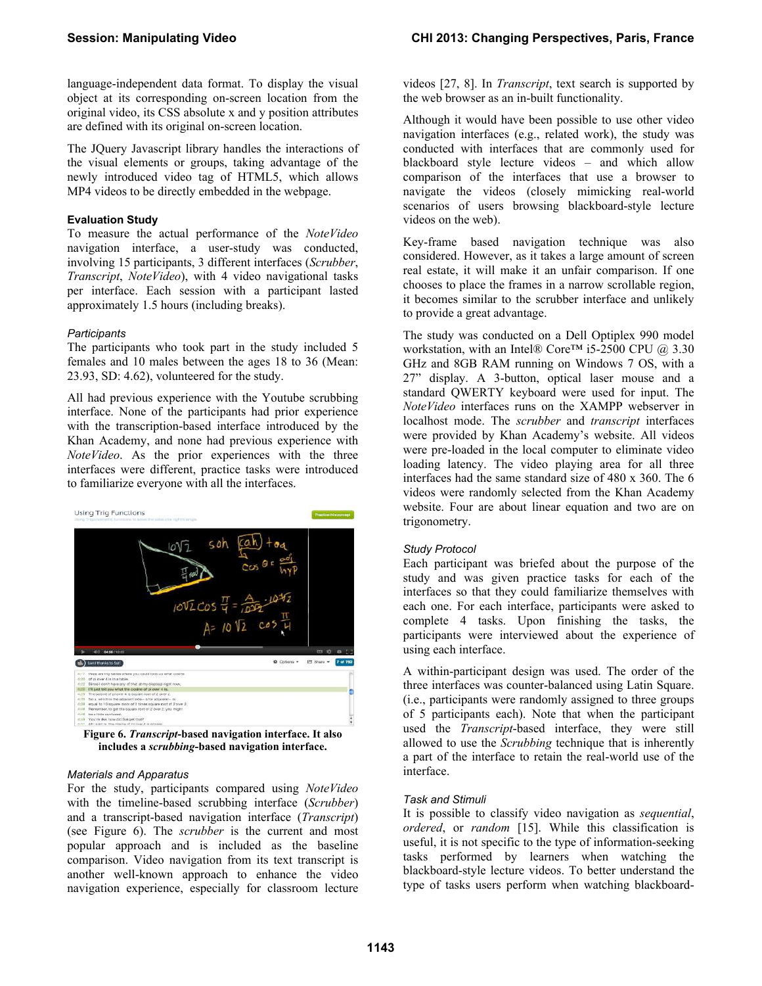language-independent data format. To display the visual object at its corresponding on-screen location from the original video, its CSS absolute x and y position attributes are defined with its original on-screen location.

The JQuery Javascript library handles the interactions of the visual elements or groups, taking advantage of the newly introduced video tag of HTML5, which allows MP4 videos to be directly embedded in the webpage.

# **Evaluation Study**

To measure the actual performance of the *NoteVideo* navigation interface, a user-study was conducted, involving 15 participants, 3 different interfaces (*Scrubber*, *Transcript*, *NoteVideo*), with 4 video navigational tasks per interface. Each session with a participant lasted approximately 1.5 hours (including breaks).

# *Participants*

The participants who took part in the study included 5 females and 10 males between the ages 18 to 36 (Mean: 23.93, SD: 4.62), volunteered for the study.

All had previous experience with the Youtube scrubbing interface. None of the participants had prior experience with the transcription-based interface introduced by the Khan Academy, and none had previous experience with *NoteVideo*. As the prior experiences with the three interfaces were different, practice tasks were introduced to familiarize everyone with all the interfaces.



**Figure 6.** *Transcript***-based navigation interface. It also includes a** *scrubbing***-based navigation interface.**

## *Materials and Apparatus*

For the study, participants compared using *NoteVideo* with the timeline-based scrubbing interface (*Scrubber*) and a transcript-based navigation interface (*Transcript*) (see Figure 6). The *scrubber* is the current and most popular approach and is included as the baseline comparison. Video navigation from its text transcript is another well-known approach to enhance the video navigation experience, especially for classroom lecture videos [27, 8]. In *Transcript*, text search is supported by the web browser as an in-built functionality.

Although it would have been possible to use other video navigation interfaces (e.g., related work), the study was conducted with interfaces that are commonly used for blackboard style lecture videos – and which allow comparison of the interfaces that use a browser to navigate the videos (closely mimicking real-world scenarios of users browsing blackboard-style lecture videos on the web).

Key-frame based navigation technique was also considered. However, as it takes a large amount of screen real estate, it will make it an unfair comparison. If one chooses to place the frames in a narrow scrollable region, it becomes similar to the scrubber interface and unlikely to provide a great advantage.

The study was conducted on a Dell Optiplex 990 model workstation, with an Intel® Core™ i5-2500 CPU @ 3.30 GHz and 8GB RAM running on Windows 7 OS, with a 27" display. A 3-button, optical laser mouse and a standard QWERTY keyboard were used for input. The *NoteVideo* interfaces runs on the XAMPP webserver in localhost mode. The *scrubber* and *transcript* interfaces were provided by Khan Academy's website. All videos were pre-loaded in the local computer to eliminate video loading latency. The video playing area for all three interfaces had the same standard size of 480 x 360. The 6 videos were randomly selected from the Khan Academy website. Four are about linear equation and two are on trigonometry.

# *Study Protocol*

Each participant was briefed about the purpose of the study and was given practice tasks for each of the interfaces so that they could familiarize themselves with each one. For each interface, participants were asked to complete 4 tasks. Upon finishing the tasks, the participants were interviewed about the experience of using each interface.

A within-participant design was used. The order of the three interfaces was counter-balanced using Latin Square. (i.e., participants were randomly assigned to three groups of 5 participants each). Note that when the participant used the *Transcript*-based interface, they were still allowed to use the *Scrubbing* technique that is inherently a part of the interface to retain the real-world use of the interface.

# *Task and Stimuli*

It is possible to classify video navigation as *sequential*, *ordered*, or *random* [15]. While this classification is useful, it is not specific to the type of information-seeking tasks performed by learners when watching the blackboard-style lecture videos. To better understand the type of tasks users perform when watching blackboard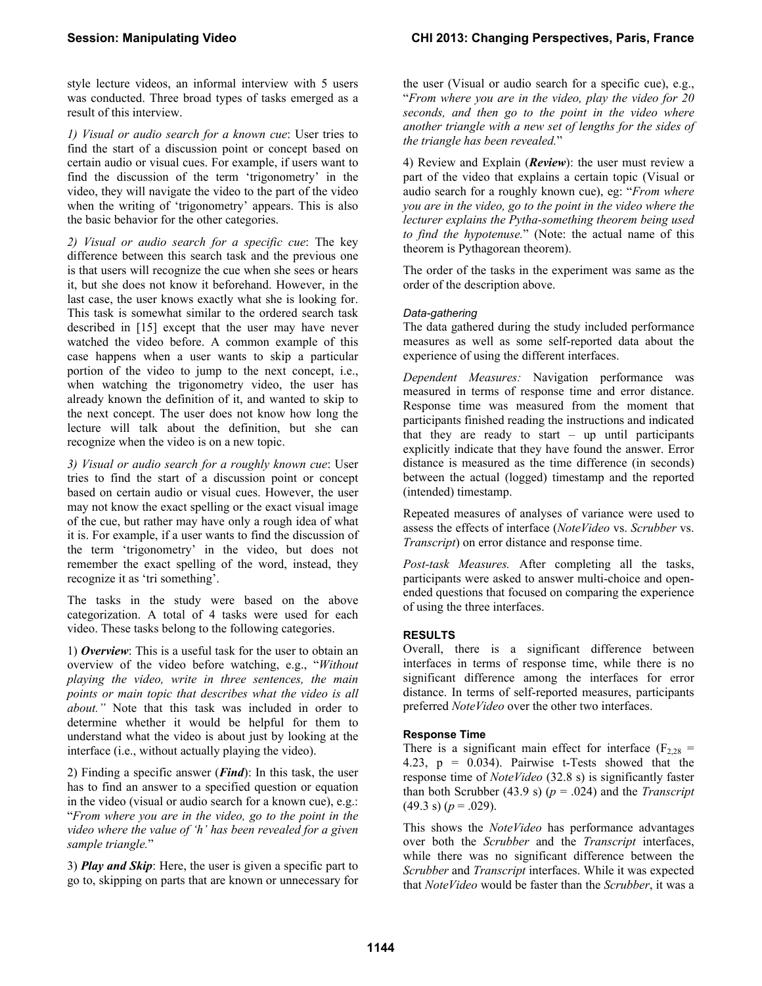style lecture videos, an informal interview with 5 users was conducted. Three broad types of tasks emerged as a result of this interview.

*1) Visual or audio search for a known cue*: User tries to find the start of a discussion point or concept based on certain audio or visual cues. For example, if users want to find the discussion of the term 'trigonometry' in the video, they will navigate the video to the part of the video when the writing of 'trigonometry' appears. This is also the basic behavior for the other categories.

*2) Visual or audio search for a specific cue*: The key difference between this search task and the previous one is that users will recognize the cue when she sees or hears it, but she does not know it beforehand. However, in the last case, the user knows exactly what she is looking for. This task is somewhat similar to the ordered search task described in [15] except that the user may have never watched the video before. A common example of this case happens when a user wants to skip a particular portion of the video to jump to the next concept, i.e., when watching the trigonometry video, the user has already known the definition of it, and wanted to skip to the next concept. The user does not know how long the lecture will talk about the definition, but she can recognize when the video is on a new topic.

*3) Visual or audio search for a roughly known cue*: User tries to find the start of a discussion point or concept based on certain audio or visual cues. However, the user may not know the exact spelling or the exact visual image of the cue, but rather may have only a rough idea of what it is. For example, if a user wants to find the discussion of the term 'trigonometry' in the video, but does not remember the exact spelling of the word, instead, they recognize it as 'tri something'.

The tasks in the study were based on the above categorization. A total of 4 tasks were used for each video. These tasks belong to the following categories.

1) *Overview*: This is a useful task for the user to obtain an overview of the video before watching, e.g., "*Without playing the video, write in three sentences, the main points or main topic that describes what the video is all about."* Note that this task was included in order to determine whether it would be helpful for them to understand what the video is about just by looking at the interface (i.e., without actually playing the video).

2) Finding a specific answer (*Find*): In this task, the user has to find an answer to a specified question or equation in the video (visual or audio search for a known cue), e.g.: "*From where you are in the video, go to the point in the video where the value of 'h' has been revealed for a given sample triangle.*"

3) *Play and Skip*: Here, the user is given a specific part to go to, skipping on parts that are known or unnecessary for

the user (Visual or audio search for a specific cue), e.g., "*From where you are in the video, play the video for 20 seconds, and then go to the point in the video where another triangle with a new set of lengths for the sides of the triangle has been revealed.*"

4) Review and Explain (*Review*): the user must review a part of the video that explains a certain topic (Visual or audio search for a roughly known cue), eg: "*From where you are in the video, go to the point in the video where the lecturer explains the Pytha-something theorem being used to find the hypotenuse.*" (Note: the actual name of this theorem is Pythagorean theorem).

The order of the tasks in the experiment was same as the order of the description above.

# *Data-gathering*

The data gathered during the study included performance measures as well as some self-reported data about the experience of using the different interfaces.

*Dependent Measures:* Navigation performance was measured in terms of response time and error distance. Response time was measured from the moment that participants finished reading the instructions and indicated that they are ready to start  $-$  up until participants explicitly indicate that they have found the answer. Error distance is measured as the time difference (in seconds) between the actual (logged) timestamp and the reported (intended) timestamp.

Repeated measures of analyses of variance were used to assess the effects of interface (*NoteVideo* vs. *Scrubber* vs. *Transcript*) on error distance and response time.

*Post-task Measures.* After completing all the tasks, participants were asked to answer multi-choice and openended questions that focused on comparing the experience of using the three interfaces.

# **RESULTS**

Overall, there is a significant difference between interfaces in terms of response time, while there is no significant difference among the interfaces for error distance. In terms of self-reported measures, participants preferred *NoteVideo* over the other two interfaces.

# **Response Time**

There is a significant main effect for interface  $(F_{2,28} =$ 4.23,  $p = 0.034$ . Pairwise t-Tests showed that the response time of *NoteVideo* (32.8 s) is significantly faster than both Scrubber (43.9 s) (*p* = .024) and the *Transcript*  $(49.3 \text{ s}) (p = .029)$ .

This shows the *NoteVideo* has performance advantages over both the *Scrubber* and the *Transcript* interfaces, while there was no significant difference between the *Scrubber* and *Transcript* interfaces. While it was expected that *NoteVideo* would be faster than the *Scrubber*, it was a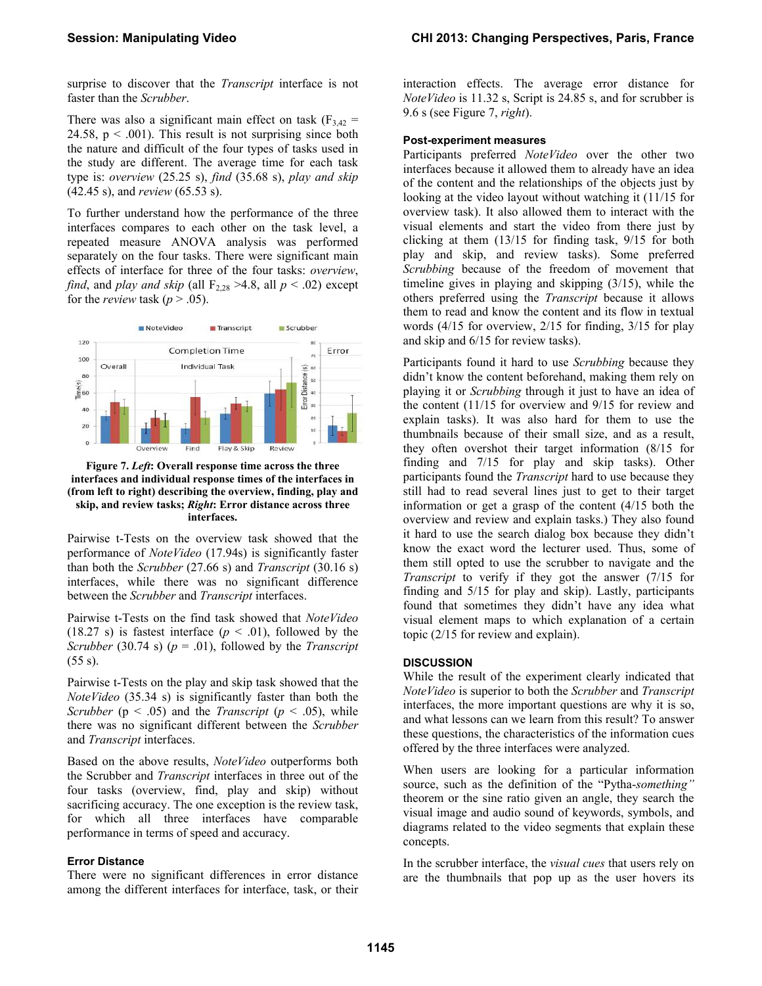surprise to discover that the *Transcript* interface is not faster than the *Scrubber*.

There was also a significant main effect on task ( $F_{3,42}$  = 24.58,  $p < .001$ ). This result is not surprising since both the nature and difficult of the four types of tasks used in the study are different. The average time for each task type is: *overview* (25.25 s), *find* (35.68 s), *play and skip* (42.45 s), and *review* (65.53 s).

To further understand how the performance of the three interfaces compares to each other on the task level, a repeated measure ANOVA analysis was performed separately on the four tasks. There were significant main effects of interface for three of the four tasks: *overview*, *find*, and *play and skip* (all  $F_{2,28} > 4.8$ , all  $p < .02$ ) except for the *review* task ( $p > .05$ ).



**Figure 7.** *Left***: Overall response time across the three interfaces and individual response times of the interfaces in (from left to right) describing the overview, finding, play and skip, and review tasks;** *Right***: Error distance across three interfaces.**

Pairwise t-Tests on the overview task showed that the performance of *NoteVideo* (17.94s) is significantly faster than both the *Scrubber* (27.66 s) and *Transcript* (30.16 s) interfaces, while there was no significant difference between the *Scrubber* and *Transcript* interfaces.

Pairwise t-Tests on the find task showed that *NoteVideo* (18.27 s) is fastest interface ( $p < .01$ ), followed by the *Scrubber* (30.74 s) (*p* = .01), followed by the *Transcript* (55 s).

Pairwise t-Tests on the play and skip task showed that the *NoteVideo* (35.34 s) is significantly faster than both the *Scrubber* ( $p < .05$ ) and the *Transcript* ( $p < .05$ ), while there was no significant different between the *Scrubber* and *Transcript* interfaces.

Based on the above results, *NoteVideo* outperforms both the Scrubber and *Transcript* interfaces in three out of the four tasks (overview, find, play and skip) without sacrificing accuracy. The one exception is the review task, for which all three interfaces have comparable performance in terms of speed and accuracy.

#### **Error Distance**

There were no significant differences in error distance among the different interfaces for interface, task, or their interaction effects. The average error distance for *NoteVideo* is 11.32 s, Script is 24.85 s, and for scrubber is 9.6 s (see Figure 7, *right*).

#### **Post-experiment measures**

Participants preferred *NoteVideo* over the other two interfaces because it allowed them to already have an idea of the content and the relationships of the objects just by looking at the video layout without watching it (11/15 for overview task). It also allowed them to interact with the visual elements and start the video from there just by clicking at them (13/15 for finding task, 9/15 for both play and skip, and review tasks). Some preferred *Scrubbing* because of the freedom of movement that timeline gives in playing and skipping (3/15), while the others preferred using the *Transcript* because it allows them to read and know the content and its flow in textual words (4/15 for overview, 2/15 for finding, 3/15 for play and skip and 6/15 for review tasks).

Participants found it hard to use *Scrubbing* because they didn't know the content beforehand, making them rely on playing it or *Scrubbing* through it just to have an idea of the content (11/15 for overview and 9/15 for review and explain tasks). It was also hard for them to use the thumbnails because of their small size, and as a result, they often overshot their target information (8/15 for finding and 7/15 for play and skip tasks). Other participants found the *Transcript* hard to use because they still had to read several lines just to get to their target information or get a grasp of the content (4/15 both the overview and review and explain tasks.) They also found it hard to use the search dialog box because they didn't know the exact word the lecturer used. Thus, some of them still opted to use the scrubber to navigate and the *Transcript* to verify if they got the answer (7/15 for finding and 5/15 for play and skip). Lastly, participants found that sometimes they didn't have any idea what visual element maps to which explanation of a certain topic (2/15 for review and explain).

#### **DISCUSSION**

While the result of the experiment clearly indicated that *NoteVideo* is superior to both the *Scrubber* and *Transcript* interfaces, the more important questions are why it is so, and what lessons can we learn from this result? To answer these questions, the characteristics of the information cues offered by the three interfaces were analyzed.

When users are looking for a particular information source, such as the definition of the "Pytha-*something"*  theorem or the sine ratio given an angle, they search the visual image and audio sound of keywords, symbols, and diagrams related to the video segments that explain these concepts.

In the scrubber interface, the *visual cues* that users rely on are the thumbnails that pop up as the user hovers its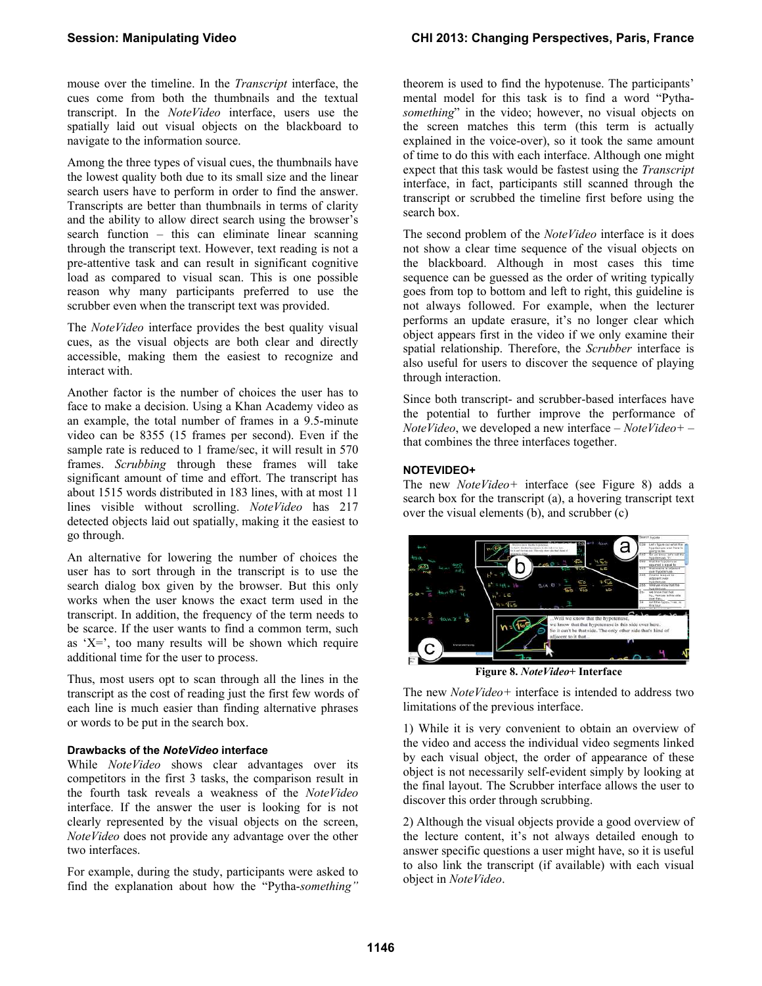mouse over the timeline. In the *Transcript* interface, the cues come from both the thumbnails and the textual transcript. In the *NoteVideo* interface, users use the spatially laid out visual objects on the blackboard to navigate to the information source.

Among the three types of visual cues, the thumbnails have the lowest quality both due to its small size and the linear search users have to perform in order to find the answer. Transcripts are better than thumbnails in terms of clarity and the ability to allow direct search using the browser's search function – this can eliminate linear scanning through the transcript text. However, text reading is not a pre-attentive task and can result in significant cognitive load as compared to visual scan. This is one possible reason why many participants preferred to use the scrubber even when the transcript text was provided.

The *NoteVideo* interface provides the best quality visual cues, as the visual objects are both clear and directly accessible, making them the easiest to recognize and interact with.

Another factor is the number of choices the user has to face to make a decision. Using a Khan Academy video as an example, the total number of frames in a 9.5-minute video can be 8355 (15 frames per second). Even if the sample rate is reduced to 1 frame/sec, it will result in 570 frames. *Scrubbing* through these frames will take significant amount of time and effort. The transcript has about 1515 words distributed in 183 lines, with at most 11 lines visible without scrolling. *NoteVideo* has 217 detected objects laid out spatially, making it the easiest to go through.

An alternative for lowering the number of choices the user has to sort through in the transcript is to use the search dialog box given by the browser. But this only works when the user knows the exact term used in the transcript. In addition, the frequency of the term needs to be scarce. If the user wants to find a common term, such as  $X =$ , too many results will be shown which require additional time for the user to process.

Thus, most users opt to scan through all the lines in the transcript as the cost of reading just the first few words of each line is much easier than finding alternative phrases or words to be put in the search box.

## **Drawbacks of the** *NoteVideo* **interface**

While *NoteVideo* shows clear advantages over its competitors in the first 3 tasks, the comparison result in the fourth task reveals a weakness of the *NoteVideo* interface. If the answer the user is looking for is not clearly represented by the visual objects on the screen, *NoteVideo* does not provide any advantage over the other two interfaces.

For example, during the study, participants were asked to find the explanation about how the "Pytha-*something"*

theorem is used to find the hypotenuse. The participants' mental model for this task is to find a word "Pytha*something*" in the video; however, no visual objects on the screen matches this term (this term is actually explained in the voice-over), so it took the same amount of time to do this with each interface. Although one might expect that this task would be fastest using the *Transcript* interface, in fact, participants still scanned through the transcript or scrubbed the timeline first before using the search box.

The second problem of the *NoteVideo* interface is it does not show a clear time sequence of the visual objects on the blackboard. Although in most cases this time sequence can be guessed as the order of writing typically goes from top to bottom and left to right, this guideline is not always followed. For example, when the lecturer performs an update erasure, it's no longer clear which object appears first in the video if we only examine their spatial relationship. Therefore, the *Scrubber* interface is also useful for users to discover the sequence of playing through interaction.

Since both transcript- and scrubber-based interfaces have the potential to further improve the performance of *NoteVideo*, we developed a new interface – *NoteVideo+ –* that combines the three interfaces together.

#### **NOTEVIDEO+**

The new *NoteVideo+* interface (see Figure 8) adds a search box for the transcript (a), a hovering transcript text over the visual elements (b), and scrubber (c)



**Figure 8.** *NoteVideo***+ Interface**

The new *NoteVideo+* interface is intended to address two limitations of the previous interface.

1) While it is very convenient to obtain an overview of the video and access the individual video segments linked by each visual object, the order of appearance of these object is not necessarily self-evident simply by looking at the final layout. The Scrubber interface allows the user to discover this order through scrubbing.

2) Although the visual objects provide a good overview of the lecture content, it's not always detailed enough to answer specific questions a user might have, so it is useful to also link the transcript (if available) with each visual object in *NoteVideo*.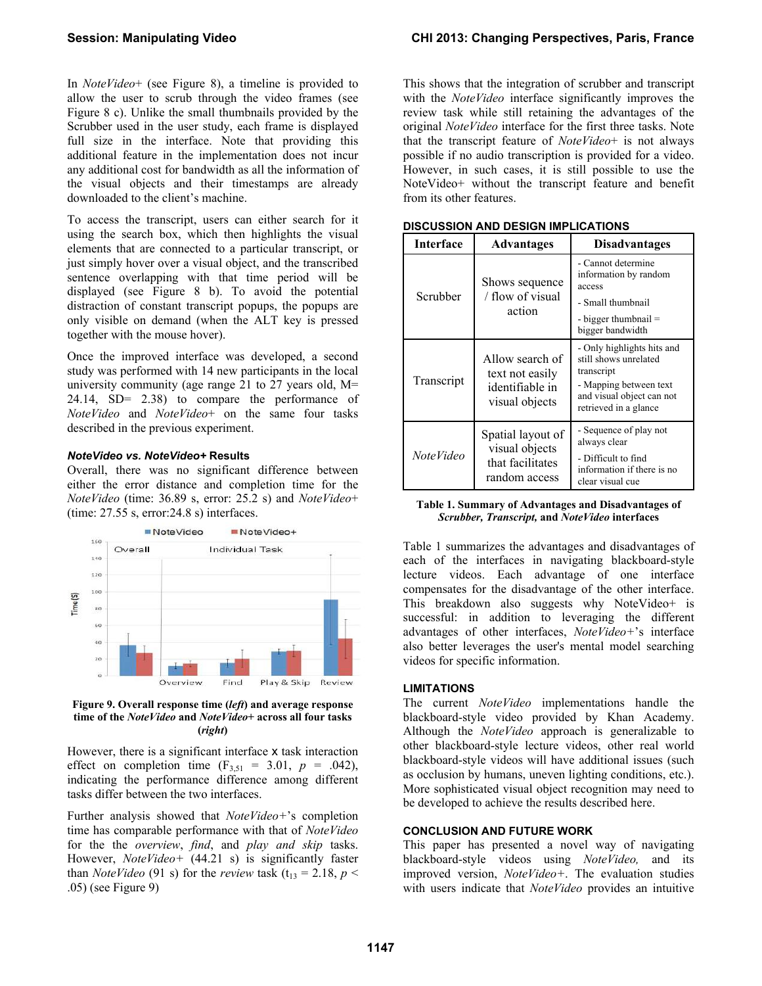In *NoteVideo*+ (see Figure 8), a timeline is provided to allow the user to scrub through the video frames (see Figure 8 c). Unlike the small thumbnails provided by the Scrubber used in the user study, each frame is displayed full size in the interface. Note that providing this additional feature in the implementation does not incur any additional cost for bandwidth as all the information of the visual objects and their timestamps are already downloaded to the client's machine.

To access the transcript, users can either search for it using the search box, which then highlights the visual elements that are connected to a particular transcript, or just simply hover over a visual object, and the transcribed sentence overlapping with that time period will be displayed (see Figure 8 b). To avoid the potential distraction of constant transcript popups, the popups are only visible on demand (when the ALT key is pressed together with the mouse hover).

Once the improved interface was developed, a second study was performed with 14 new participants in the local university community (age range 21 to 27 years old, M= 24.14, SD= 2.38) to compare the performance of *NoteVideo* and *NoteVideo*+ on the same four tasks described in the previous experiment.

#### *NoteVideo vs. NoteVideo+* **Results**

Overall, there was no significant difference between either the error distance and completion time for the *NoteVideo* (time: 36.89 s, error: 25.2 s) and *NoteVideo*+ (time: 27.55 s, error:24.8 s) interfaces.



**Figure 9. Overall response time (***left***) and average response time of the** *NoteVideo* **and** *NoteVideo***+ across all four tasks (***right***)**

However, there is a significant interface x task interaction effect on completion time  $(F_{3,51} = 3.01, p = .042)$ , indicating the performance difference among different tasks differ between the two interfaces.

Further analysis showed that *NoteVideo+*'s completion time has comparable performance with that of *NoteVideo* for the the *overview*, *find*, and *play and skip* tasks. However, *NoteVideo+* (44.21 s) is significantly faster than *NoteVideo* (91 s) for the *review* task (t<sub>13</sub> = 2.18, *p* < .05) (see Figure 9)

This shows that the integration of scrubber and transcript with the *NoteVideo* interface significantly improves the review task while still retaining the advantages of the original *NoteVideo* interface for the first three tasks. Note that the transcript feature of *NoteVideo*+ is not always possible if no audio transcription is provided for a video. However, in such cases, it is still possible to use the NoteVideo+ without the transcript feature and benefit from its other features.

| <b>Interface</b> | <b>Advantages</b>                                                        | <b>Disadvantages</b>                                                                                                                              |
|------------------|--------------------------------------------------------------------------|---------------------------------------------------------------------------------------------------------------------------------------------------|
| Scrubber         | Shows sequence<br>/ flow of visual<br>action                             | - Cannot determine<br>information by random<br>access<br>- Small thumbnail<br>- bigger thumbnail $=$<br>bigger bandwidth                          |
| Transcript       | Allow search of<br>text not easily<br>identifiable in<br>visual objects  | - Only highlights hits and<br>still shows unrelated<br>transcript<br>- Mapping between text<br>and visual object can not<br>retrieved in a glance |
| NoteVideo        | Spatial layout of<br>visual objects<br>that facilitates<br>random access | - Sequence of play not<br>always clear<br>- Difficult to find<br>information if there is no<br>clear visual cue                                   |

**DISCUSSION AND DESIGN IMPLICATIONS**

#### **Table 1. Summary of Advantages and Disadvantages of**  *Scrubber, Transcript,* **and** *NoteVideo* **interfaces**

Table 1 summarizes the advantages and disadvantages of each of the interfaces in navigating blackboard-style lecture videos. Each advantage of one interface compensates for the disadvantage of the other interface. This breakdown also suggests why NoteVideo+ is successful: in addition to leveraging the different advantages of other interfaces, *NoteVideo+*'s interface also better leverages the user's mental model searching videos for specific information.

## **LIMITATIONS**

The current *NoteVideo* implementations handle the blackboard-style video provided by Khan Academy. Although the *NoteVideo* approach is generalizable to other blackboard-style lecture videos, other real world blackboard-style videos will have additional issues (such as occlusion by humans, uneven lighting conditions, etc.). More sophisticated visual object recognition may need to be developed to achieve the results described here.

#### **CONCLUSION AND FUTURE WORK**

This paper has presented a novel way of navigating blackboard-style videos using *NoteVideo,* and its improved version, *NoteVideo+*. The evaluation studies with users indicate that *NoteVideo* provides an intuitive